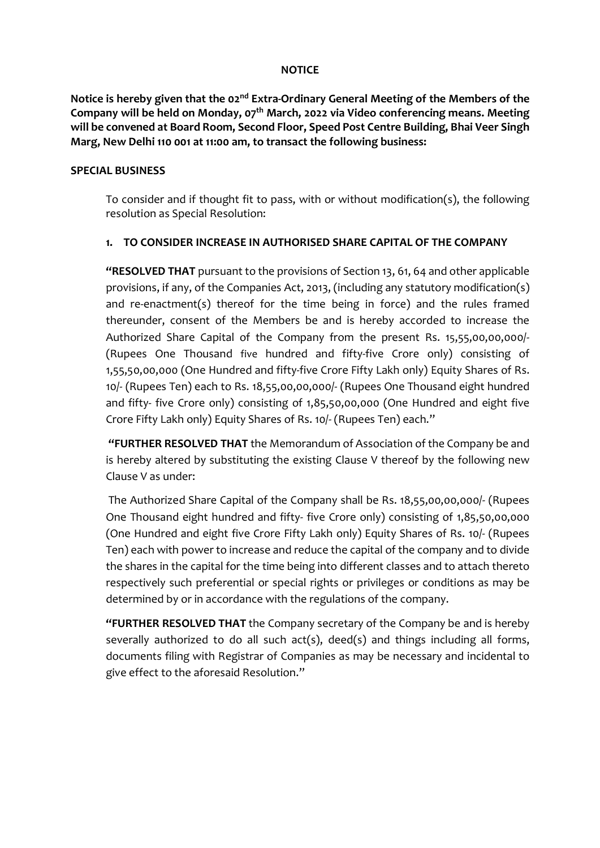#### NOTICE

Notice is hereby given that the 02<sup>nd</sup> Extra-Ordinary General Meeting of the Members of the Company will be held on Monday,  $o_7$ <sup>th</sup> March, 2022 via Video conferencing means. Meeting will be convened at Board Room, Second Floor, Speed Post Centre Building, Bhai Veer Singh Marg, New Delhi 110 001 at 11:00 am, to transact the following business:

#### SPECIAL BUSINESS

To consider and if thought fit to pass, with or without modification(s), the following resolution as Special Resolution:

#### 1. TO CONSIDER INCREASE IN AUTHORISED SHARE CAPITAL OF THE COMPANY

"RESOLVED THAT pursuant to the provisions of Section 13, 61, 64 and other applicable provisions, if any, of the Companies Act, 2013, (including any statutory modification(s) and re-enactment(s) thereof for the time being in force) and the rules framed thereunder, consent of the Members be and is hereby accorded to increase the Authorized Share Capital of the Company from the present Rs. 15,55,00,00,000/- (Rupees One Thousand five hundred and fifty-five Crore only) consisting of 1,55,50,00,000 (One Hundred and fifty-five Crore Fifty Lakh only) Equity Shares of Rs. 10/- (Rupees Ten) each to Rs. 18,55,00,00,000/- (Rupees One Thousand eight hundred and fifty- five Crore only) consisting of 1,85,50,00,000 (One Hundred and eight five Crore Fifty Lakh only) Equity Shares of Rs. 10/- (Rupees Ten) each."

 "FURTHER RESOLVED THAT the Memorandum of Association of the Company be and is hereby altered by substituting the existing Clause V thereof by the following new Clause V as under:

 The Authorized Share Capital of the Company shall be Rs. 18,55,00,00,000/- (Rupees One Thousand eight hundred and fifty- five Crore only) consisting of 1,85,50,00,000 (One Hundred and eight five Crore Fifty Lakh only) Equity Shares of Rs. 10/- (Rupees Ten) each with power to increase and reduce the capital of the company and to divide the shares in the capital for the time being into different classes and to attach thereto respectively such preferential or special rights or privileges or conditions as may be determined by or in accordance with the regulations of the company.

"FURTHER RESOLVED THAT the Company secretary of the Company be and is hereby severally authorized to do all such act(s), deed(s) and things including all forms, documents filing with Registrar of Companies as may be necessary and incidental to give effect to the aforesaid Resolution."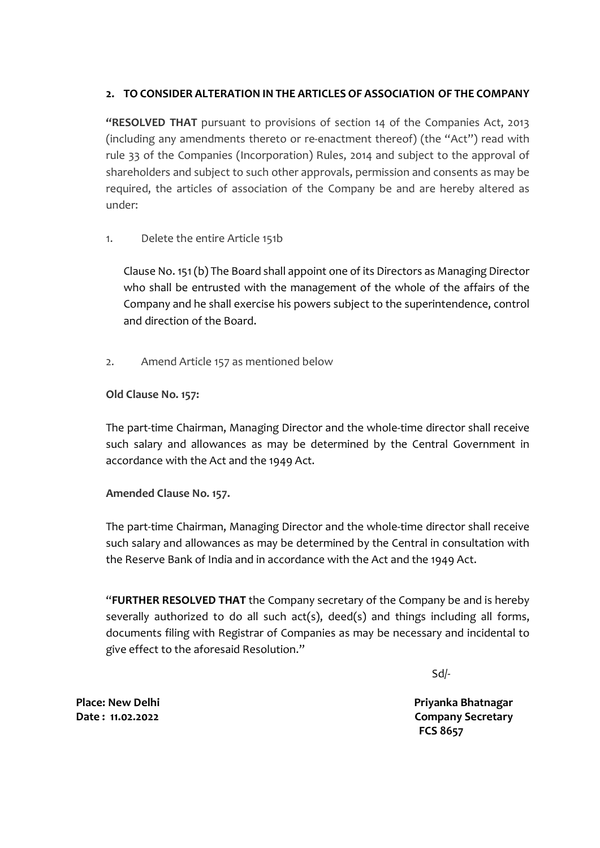### 2. TO CONSIDER ALTERATION IN THE ARTICLES OF ASSOCIATION OF THE COMPANY

"RESOLVED THAT pursuant to provisions of section 14 of the Companies Act, 2013 (including any amendments thereto or re-enactment thereof) (the "Act") read with rule 33 of the Companies (Incorporation) Rules, 2014 and subject to the approval of shareholders and subject to such other approvals, permission and consents as may be required, the articles of association of the Company be and are hereby altered as under:

1. Delete the entire Article 151b

Clause No. 151 (b) The Board shall appoint one of its Directors as Managing Director who shall be entrusted with the management of the whole of the affairs of the Company and he shall exercise his powers subject to the superintendence, control and direction of the Board.

2. Amend Article 157 as mentioned below

#### Old Clause No. 157:

The part-time Chairman, Managing Director and the whole-time director shall receive such salary and allowances as may be determined by the Central Government in accordance with the Act and the 1949 Act.

### Amended Clause No. 157.

The part-time Chairman, Managing Director and the whole-time director shall receive such salary and allowances as may be determined by the Central in consultation with the Reserve Bank of India and in accordance with the Act and the 1949 Act.

"FURTHER RESOLVED THAT the Company secretary of the Company be and is hereby severally authorized to do all such act(s), deed(s) and things including all forms, documents filing with Registrar of Companies as may be necessary and incidental to give effect to the aforesaid Resolution."

 $Sd$ 

Place: New Delhi Date : 11.02.2022

 Priyanka Bhatnagar Company Secretary FCS 8657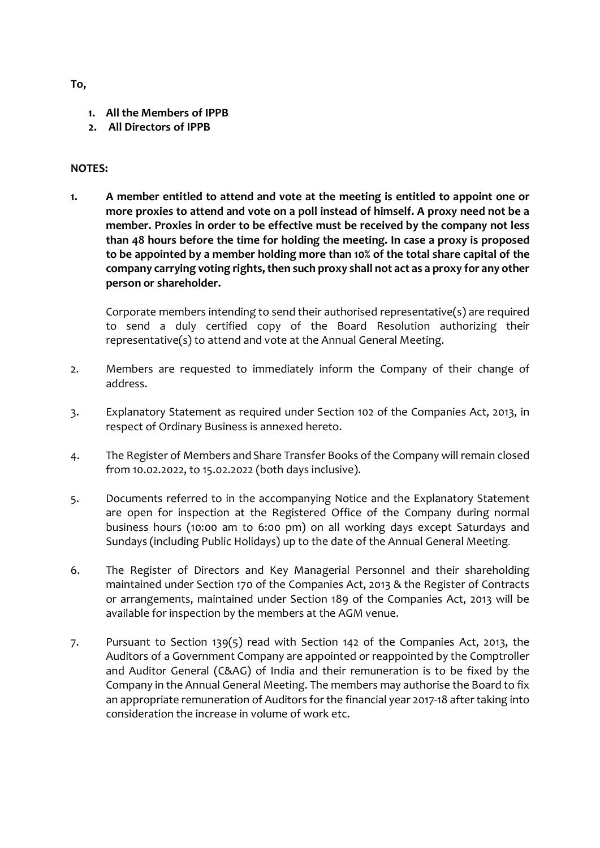To,

- 1. All the Members of IPPB
- 2. All Directors of IPPB

#### NOTES:

1. A member entitled to attend and vote at the meeting is entitled to appoint one or more proxies to attend and vote on a poll instead of himself. A proxy need not be a member. Proxies in order to be effective must be received by the company not less than 48 hours before the time for holding the meeting. In case a proxy is proposed to be appointed by a member holding more than 10% of the total share capital of the company carrying voting rights, then such proxy shall not act as a proxy for any other person or shareholder.

Corporate members intending to send their authorised representative(s) are required to send a duly certified copy of the Board Resolution authorizing their representative(s) to attend and vote at the Annual General Meeting.

- 2. Members are requested to immediately inform the Company of their change of address.
- 3. Explanatory Statement as required under Section 102 of the Companies Act, 2013, in respect of Ordinary Business is annexed hereto.
- 4. The Register of Members and Share Transfer Books of the Company will remain closed from 10.02.2022, to 15.02.2022 (both days inclusive).
- 5. Documents referred to in the accompanying Notice and the Explanatory Statement are open for inspection at the Registered Office of the Company during normal business hours (10:00 am to 6:00 pm) on all working days except Saturdays and Sundays (including Public Holidays) up to the date of the Annual General Meeting.
- 6. The Register of Directors and Key Managerial Personnel and their shareholding maintained under Section 170 of the Companies Act, 2013 & the Register of Contracts or arrangements, maintained under Section 189 of the Companies Act, 2013 will be available for inspection by the members at the AGM venue.
- 7. Pursuant to Section 139(5) read with Section 142 of the Companies Act, 2013, the Auditors of a Government Company are appointed or reappointed by the Comptroller and Auditor General (C&AG) of India and their remuneration is to be fixed by the Company in the Annual General Meeting. The members may authorise the Board to fix an appropriate remuneration of Auditors for the financial year 2017-18 after taking into consideration the increase in volume of work etc.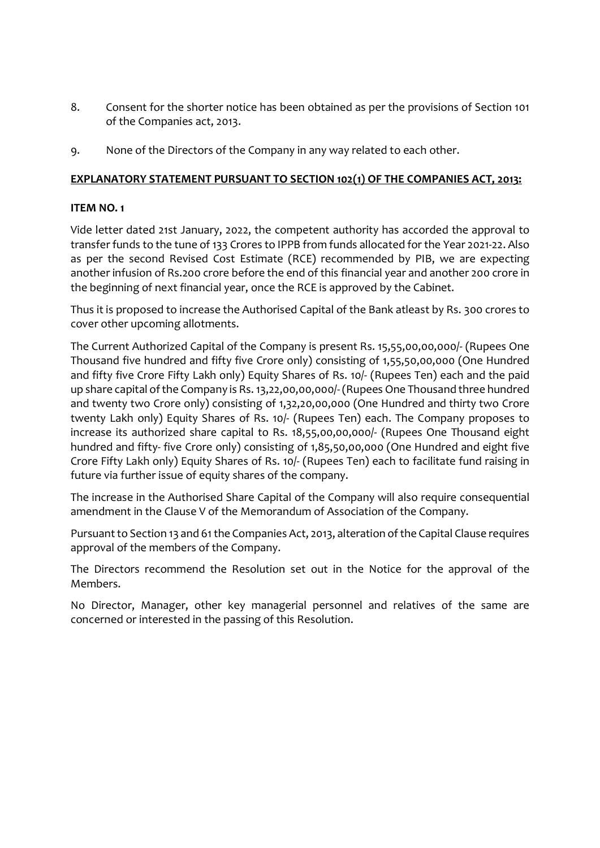- 8. Consent for the shorter notice has been obtained as per the provisions of Section 101 of the Companies act, 2013.
- 9. None of the Directors of the Company in any way related to each other.

#### EXPLANATORY STATEMENT PURSUANT TO SECTION 102(1) OF THE COMPANIES ACT, 2013:

#### ITEM NO. 1

Vide letter dated 21st January, 2022, the competent authority has accorded the approval to transfer funds to the tune of 133 Crores to IPPB from funds allocated for the Year 2021-22. Also as per the second Revised Cost Estimate (RCE) recommended by PIB, we are expecting another infusion of Rs.200 crore before the end of this financial year and another 200 crore in the beginning of next financial year, once the RCE is approved by the Cabinet.

Thus it is proposed to increase the Authorised Capital of the Bank atleast by Rs. 300 crores to cover other upcoming allotments.

The Current Authorized Capital of the Company is present Rs. 15,55,00,00,000/- (Rupees One Thousand five hundred and fifty five Crore only) consisting of 1,55,50,00,000 (One Hundred and fifty five Crore Fifty Lakh only) Equity Shares of Rs. 10/- (Rupees Ten) each and the paid up share capital of the Company is Rs. 13,22,00,00,000/- (Rupees One Thousand three hundred and twenty two Crore only) consisting of 1,32,20,00,000 (One Hundred and thirty two Crore twenty Lakh only) Equity Shares of Rs. 10/- (Rupees Ten) each. The Company proposes to increase its authorized share capital to Rs. 18,55,00,00,000/- (Rupees One Thousand eight hundred and fifty- five Crore only) consisting of 1,85,50,00,000 (One Hundred and eight five Crore Fifty Lakh only) Equity Shares of Rs. 10/- (Rupees Ten) each to facilitate fund raising in future via further issue of equity shares of the company.

The increase in the Authorised Share Capital of the Company will also require consequential amendment in the Clause V of the Memorandum of Association of the Company.

Pursuant to Section 13 and 61 the Companies Act, 2013, alteration of the Capital Clause requires approval of the members of the Company.

The Directors recommend the Resolution set out in the Notice for the approval of the Members.

No Director, Manager, other key managerial personnel and relatives of the same are concerned or interested in the passing of this Resolution.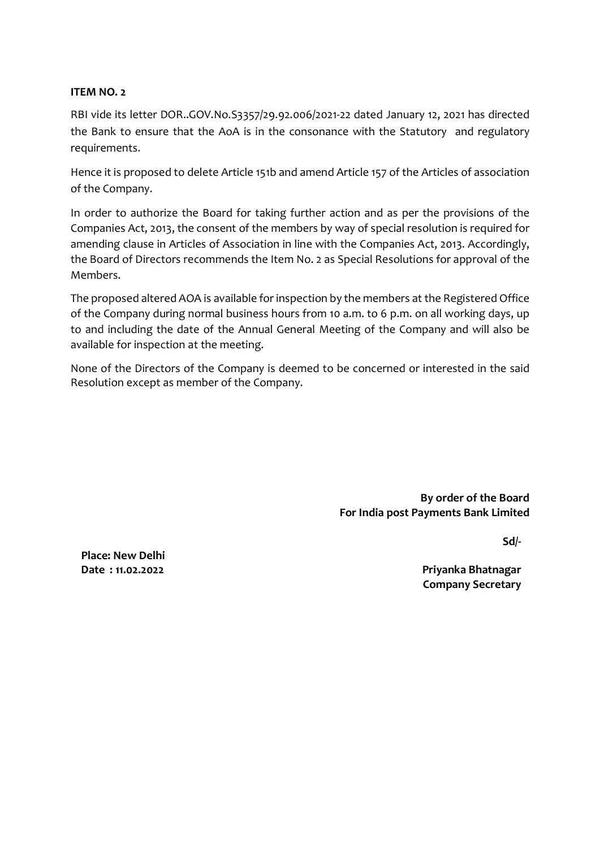#### ITEM NO. 2

RBI vide its letter DOR..GOV.No.S3357/29.92.006/2021-22 dated January 12, 2021 has directed the Bank to ensure that the AoA is in the consonance with the Statutory and regulatory requirements.

Hence it is proposed to delete Article 151b and amend Article 157 of the Articles of association of the Company.

In order to authorize the Board for taking further action and as per the provisions of the Companies Act, 2013, the consent of the members by way of special resolution is required for amending clause in Articles of Association in line with the Companies Act, 2013. Accordingly, the Board of Directors recommends the Item No. 2 as Special Resolutions for approval of the Members.

The proposed altered AOA is available for inspection by the members at the Registered Office of the Company during normal business hours from 10 a.m. to 6 p.m. on all working days, up to and including the date of the Annual General Meeting of the Company and will also be available for inspection at the meeting.

None of the Directors of the Company is deemed to be concerned or interested in the said Resolution except as member of the Company.

> By order of the Board For India post Payments Bank Limited

> > Sd/-

Place: New Delhi Date : 11.02.2022

Priyanka Bhatnagar Company Secretary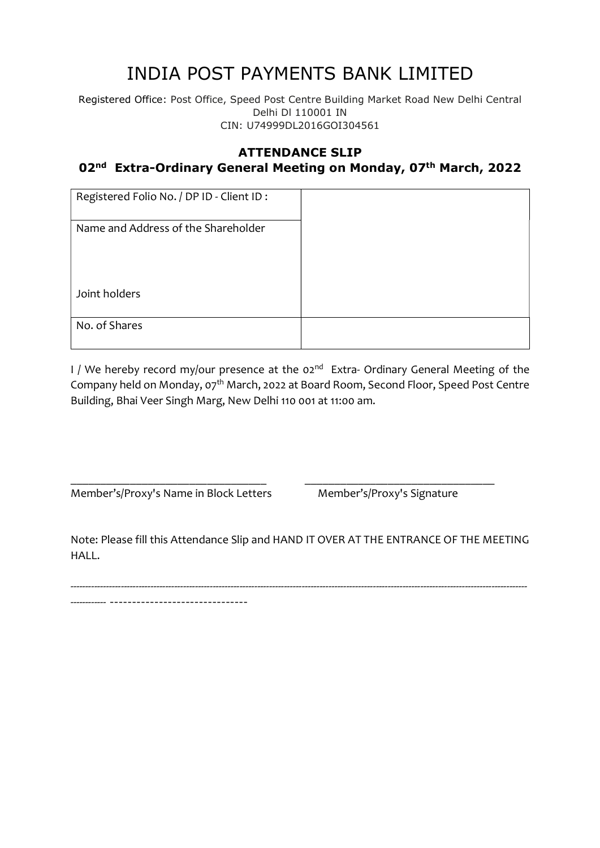# INDIA POST PAYMENTS BANK LIMITED

Registered Office: Post Office, Speed Post Centre Building Market Road New Delhi Central Delhi Dl 110001 IN CIN: U74999DL2016GOI304561

## ATTENDANCE SLIP

# 02<sup>nd</sup> Extra-Ordinary General Meeting on Monday, 07<sup>th</sup> March, 2022

| Registered Folio No. / DP ID - Client ID: |  |
|-------------------------------------------|--|
| Name and Address of the Shareholder       |  |
| Joint holders                             |  |
| No. of Shares                             |  |

I / We hereby record my/our presence at the  $02^{nd}$  Extra- Ordinary General Meeting of the Company held on Monday, 07<sup>th</sup> March, 2022 at Board Room, Second Floor, Speed Post Centre Building, Bhai Veer Singh Marg, New Delhi 110 001 at 11:00 am.

Member's/Proxy's Name in Block Letters Member's/Proxy's Signature

Note: Please fill this Attendance Slip and HAND IT OVER AT THE ENTRANCE OF THE MEETING HALL.

---------------------------------------------------------------------------------------------------------------------------------------------------------- ------------ -------------------------------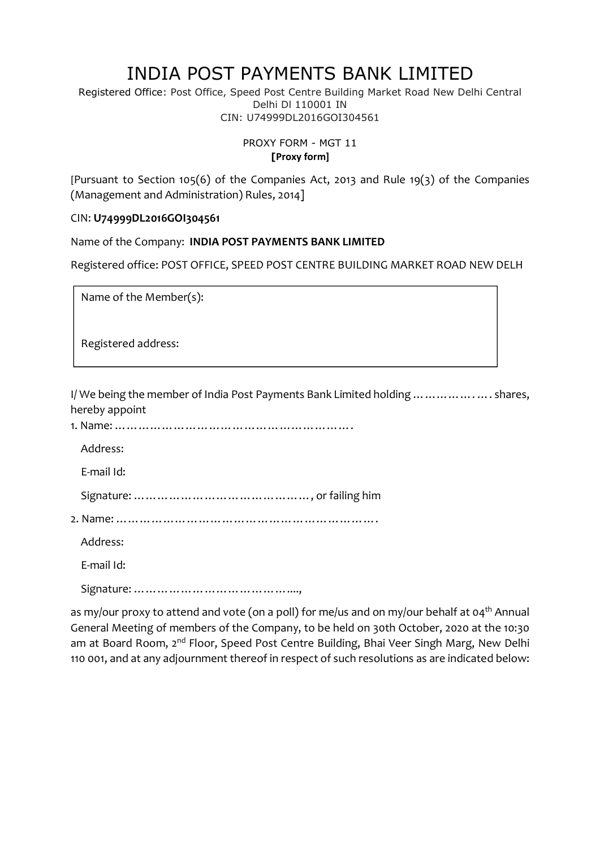# INDIA POST PAYMENTS BANK LIMITED

Registered Office: Post Office, Speed Post Centre Building Market Road New Delhi Central Delhi Dl 110001 IN CIN: U74999DL2016GOI304561

> PROXY FORM - MGT 11 [Proxy form]

[Pursuant to Section 105(6) of the Companies Act, 2013 and Rule 19(3) of the Companies (Management and Administration) Rules, 2014]

### CIN: U74999DL2016GOI304561

Name of the Company: INDIA POST PAYMENTS BANK LIMITED

Registered office: POST OFFICE, SPEED POST CENTRE BUILDING MARKET ROAD NEW DELH

Name of the Member(s):

Registered address:

I/ We being the member of India Post Payments Bank Limited holding ……………. …. shares, hereby appoint

| Address:   |
|------------|
| E-mail Id: |
|            |
|            |
| Address:   |
| E-mail Id: |
|            |

as my/our proxy to attend and vote (on a poll) for me/us and on my/our behalf at 04<sup>th</sup> Annual General Meeting of members of the Company, to be held on 30th October, 2020 at the 10:30 am at Board Room, 2<sup>nd</sup> Floor, Speed Post Centre Building, Bhai Veer Singh Marg, New Delhi 110 001, and at any adjournment thereof in respect of such resolutions as are indicated below: